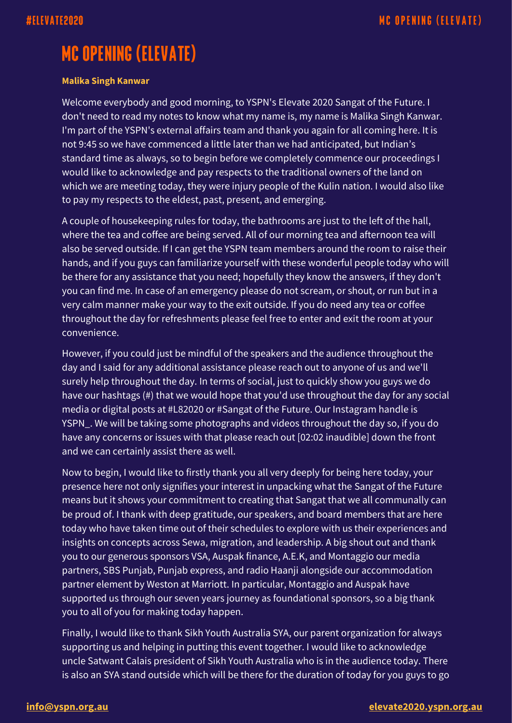## **MC OPENING (ELEVATE)**

## **Malika Singh Kanwar**

Welcome everybody and good morning, to YSPN's Elevate 2020 Sangat of the Future. I don't need to read my notes to know what my name is, my name is Malika Singh Kanwar. I'm part of the YSPN's external affairs team and thank you again for all coming here. It is not 9:45 so we have commenced a little later than we had anticipated, but Indian's standard time as always, so to begin before we completely commence our proceedings I would like to acknowledge and pay respects to the traditional owners of the land on which we are meeting today, they were injury people of the Kulin nation. I would also like to pay my respects to the eldest, past, present, and emerging.

A couple of housekeeping rules for today, the bathrooms are just to the left of the hall, where the tea and coffee are being served. All of our morning tea and afternoon tea will also be served outside. If I can get the YSPN team members around the room to raise their hands, and if you guys can familiarize yourself with these wonderful people today who will be there for any assistance that you need; hopefully they know the answers, if they don't you can find me. In case of an emergency please do not scream, or shout, or run but in a very calm manner make your way to the exit outside. If you do need any tea or coffee throughout the day for refreshments please feel free to enter and exit the room at your convenience.

However, if you could just be mindful of the speakers and the audience throughout the day and I said for any additional assistance please reach out to anyone of us and we'll surely help throughout the day. In terms of social, just to quickly show you guys we do have our hashtags (#) that we would hope that you'd use throughout the day for any social media or digital posts at #L82020 or #Sangat of the Future. Our Instagram handle is YSPN\_. We will be taking some photographs and videos throughout the day so, if you do have any concerns or issues with that please reach out [02:02 inaudible] down the front and we can certainly assist there as well.

Now to begin, I would like to firstly thank you all very deeply for being here today, your presence here not only signifies your interest in unpacking what the Sangat of the Future means but it shows your commitment to creating that Sangat that we all communally can be proud of. I thank with deep gratitude, our speakers, and board members that are here today who have taken time out of their schedules to explore with us their experiences and insights on concepts across Sewa, migration, and leadership. A big shout out and thank you to our generous sponsors VSA, Auspak finance, A.E.K, and Montaggio our media partners, SBS Punjab, Punjab express, and radio Haanji alongside our accommodation partner element by Weston at Marriott. In particular, Montaggio and Auspak have supported us through our seven years journey as foundational sponsors, so a big thank you to all of you for making today happen.

Finally, I would like to thank Sikh Youth Australia SYA, our parent organization for always supporting us and helping in putting this event together. I would like to acknowledge uncle Satwant Calais president of Sikh Youth Australia who is in the audience today. There is also an SYA stand outside which will be there for the duration of today for you guys to go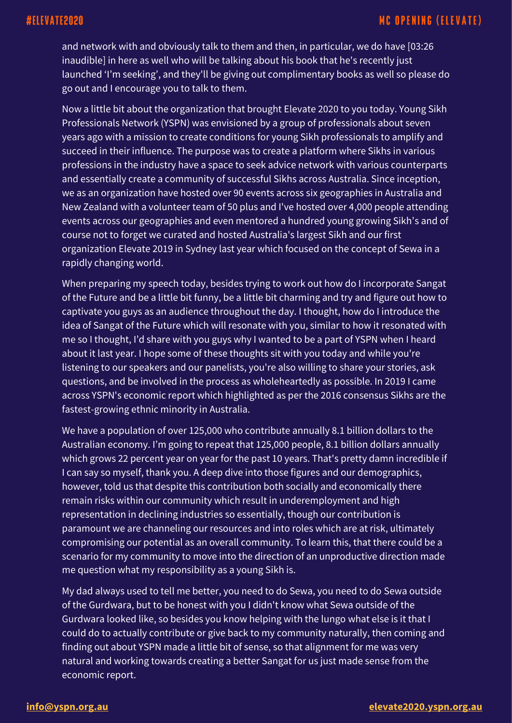and network with and obviously talk to them and then, in particular, we do have [03:26 inaudible] in here as well who will be talking about his book that he's recently just launched 'I'm seeking', and they'll be giving out complimentary books as well so please do go out and I encourage you to talk to them.

Now a little bit about the organization that brought Elevate 2020 to you today. Young Sikh Professionals Network (YSPN) was envisioned by a group of professionals about seven years ago with a mission to create conditions for young Sikh professionals to amplify and succeed in their influence. The purpose was to create a platform where Sikhs in various professions in the industry have a space to seek advice network with various counterparts and essentially create a community of successful Sikhs across Australia. Since inception, we as an organization have hosted over 90 events across six geographies in Australia and New Zealand with a volunteer team of 50 plus and I've hosted over 4,000 people attending events across our geographies and even mentored a hundred young growing Sikh's and of course not to forget we curated and hosted Australia's largest Sikh and our first organization Elevate 2019 in Sydney last year which focused on the concept of Sewa in a rapidly changing world.

When preparing my speech today, besides trying to work out how do I incorporate Sangat of the Future and be a little bit funny, be a little bit charming and try and figure out how to captivate you guys as an audience throughout the day. I thought, how do I introduce the idea of Sangat of the Future which will resonate with you, similar to how it resonated with me so I thought, I'd share with you guys why I wanted to be a part of YSPN when I heard about it last year. I hope some of these thoughts sit with you today and while you're listening to our speakers and our panelists, you're also willing to share your stories, ask questions, and be involved in the process as wholeheartedly as possible. In 2019 I came across YSPN's economic report which highlighted as per the 2016 consensus Sikhs are the fastest-growing ethnic minority in Australia.

We have a population of over 125,000 who contribute annually 8.1 billion dollars to the Australian economy. I'm going to repeat that 125,000 people, 8.1 billion dollars annually which grows 22 percent year on year for the past 10 years. That's pretty damn incredible if I can say so myself, thank you. A deep dive into those figures and our demographics, however, told us that despite this contribution both socially and economically there remain risks within our community which result in underemployment and high representation in declining industries so essentially, though our contribution is paramount we are channeling our resources and into roles which are at risk, ultimately compromising our potential as an overall community. To learn this, that there could be a scenario for my community to move into the direction of an unproductive direction made me question what my responsibility as a young Sikh is.

My dad always used to tell me better, you need to do Sewa, you need to do Sewa outside of the Gurdwara, but to be honest with you I didn't know what Sewa outside of the Gurdwara looked like, so besides you know helping with the lungo what else is it that I could do to actually contribute or give back to my community naturally, then coming and finding out about YSPN made a little bit of sense, so that alignment for me was very natural and working towards creating a better Sangat for us just made sense from the economic report.